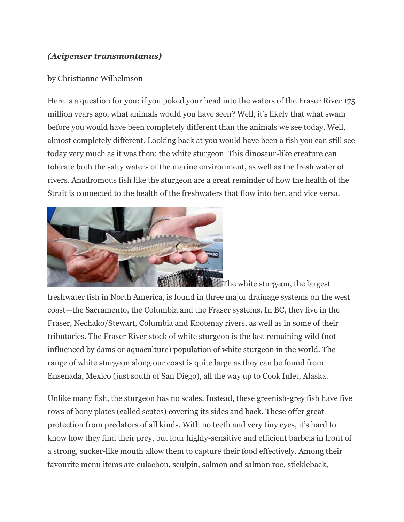## *(Acipenser transmontanus)*

## by Christianne Wilhelmson

Here is a question for you: if you poked your head into the waters of the Fraser River 175 million years ago, what animals would you have seen? Well, it's likely that what swam before you would have been completely different than the animals we see today. Well, almost completely different. Looking back at you would have been a fish you can still see today very much as it was then: the white sturgeon. This dinosaur-like creature can tolerate both the salty waters of the marine environment, as well as the fresh water of rivers. Anadromous fish like the sturgeon are a great reminder of how the health of the Strait is connected to the health of the freshwaters that flow into her, and vice versa.



**The white sturgeon, the largest** freshwater fish in North America, is found in three major drainage systems on the west coast—the Sacramento, the Columbia and the Fraser systems. In BC, they live in the Fraser, Nechako/Stewart, Columbia and Kootenay rivers, as well as in some of their tributaries. The Fraser River stock of white sturgeon is the last remaining wild (not influenced by dams or aquaculture) population of white sturgeon in the world. The range of white sturgeon along our coast is quite large as they can be found from Ensenada, Mexico (just south of San Diego), all the way up to Cook Inlet, Alaska.

Unlike many fish, the sturgeon has no scales. Instead, these greenish-grey fish have five rows of bony plates (called scutes) covering its sides and back. These offer great protection from predators of all kinds. With no teeth and very tiny eyes, it's hard to know how they find their prey, but four highly-sensitive and efficient barbels in front of a strong, sucker-like mouth allow them to capture their food effectively. Among their favourite menu items are eulachon, sculpin, salmon and salmon roe, stickleback,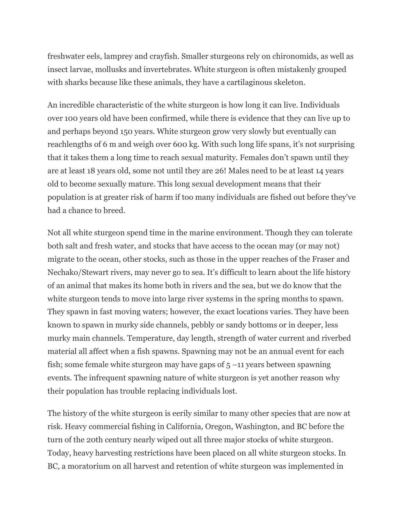freshwater eels, lamprey and crayfish. Smaller sturgeons rely on chironomids, as well as insect larvae, mollusks and invertebrates. White sturgeon is often mistakenly grouped with sharks because like these animals, they have a cartilaginous skeleton.

An incredible characteristic of the white sturgeon is how long it can live. Individuals over 100 years old have been confirmed, while there is evidence that they can live up to and perhaps beyond 150 years. White sturgeon grow very slowly but eventually can reachlengths of 6 m and weigh over 600 kg. With such long life spans, it's not surprising that it takes them a long time to reach sexual maturity. Females don't spawn until they are at least 18 years old, some not until they are 26! Males need to be at least 14 years old to become sexually mature. This long sexual development means that their population is at greater risk of harm if too many individuals are fished out before they've had a chance to breed.

Not all white sturgeon spend time in the marine environment. Though they can tolerate both salt and fresh water, and stocks that have access to the ocean may (or may not) migrate to the ocean, other stocks, such as those in the upper reaches of the Fraser and Nechako/Stewart rivers, may never go to sea. It's difficult to learn about the life history of an animal that makes its home both in rivers and the sea, but we do know that the white sturgeon tends to move into large river systems in the spring months to spawn. They spawn in fast moving waters; however, the exact locations varies. They have been known to spawn in murky side channels, pebbly or sandy bottoms or in deeper, less murky main channels. Temperature, day length, strength of water current and riverbed material all affect when a fish spawns. Spawning may not be an annual event for each fish; some female white sturgeon may have gaps of  $5 - 11$  years between spawning events. The infrequent spawning nature of white sturgeon is yet another reason why their population has trouble replacing individuals lost.

The history of the white sturgeon is eerily similar to many other species that are now at risk. Heavy commercial fishing in California, Oregon, Washington, and BC before the turn of the 20th century nearly wiped out all three major stocks of white sturgeon. Today, heavy harvesting restrictions have been placed on all white sturgeon stocks. In BC, a moratorium on all harvest and retention of white sturgeon was implemented in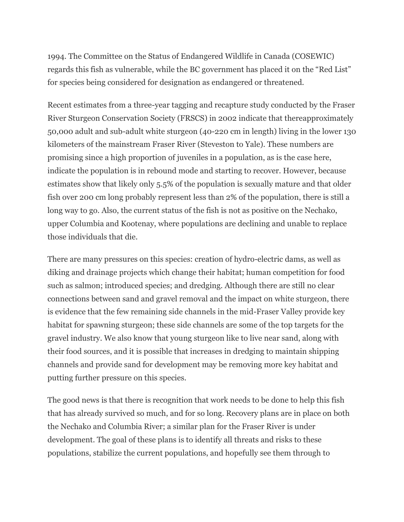1994. The Committee on the Status of Endangered Wildlife in Canada (COSEWIC) regards this fish as vulnerable, while the BC government has placed it on the "Red List" for species being considered for designation as endangered or threatened.

Recent estimates from a three-year tagging and recapture study conducted by the Fraser River Sturgeon Conservation Society (FRSCS) in 2002 indicate that thereapproximately 50,000 adult and sub-adult white sturgeon (40-220 cm in length) living in the lower 130 kilometers of the mainstream Fraser River (Steveston to Yale). These numbers are promising since a high proportion of juveniles in a population, as is the case here, indicate the population is in rebound mode and starting to recover. However, because estimates show that likely only 5.5% of the population is sexually mature and that older fish over 200 cm long probably represent less than 2% of the population, there is still a long way to go. Also, the current status of the fish is not as positive on the Nechako, upper Columbia and Kootenay, where populations are declining and unable to replace those individuals that die.

There are many pressures on this species: creation of hydro-electric dams, as well as diking and drainage projects which change their habitat; human competition for food such as salmon; introduced species; and dredging. Although there are still no clear connections between sand and gravel removal and the impact on white sturgeon, there is evidence that the few remaining side channels in the mid-Fraser Valley provide key habitat for spawning sturgeon; these side channels are some of the top targets for the gravel industry. We also know that young sturgeon like to live near sand, along with their food sources, and it is possible that increases in dredging to maintain shipping channels and provide sand for development may be removing more key habitat and putting further pressure on this species.

The good news is that there is recognition that work needs to be done to help this fish that has already survived so much, and for so long. Recovery plans are in place on both the Nechako and Columbia River; a similar plan for the Fraser River is under development. The goal of these plans is to identify all threats and risks to these populations, stabilize the current populations, and hopefully see them through to